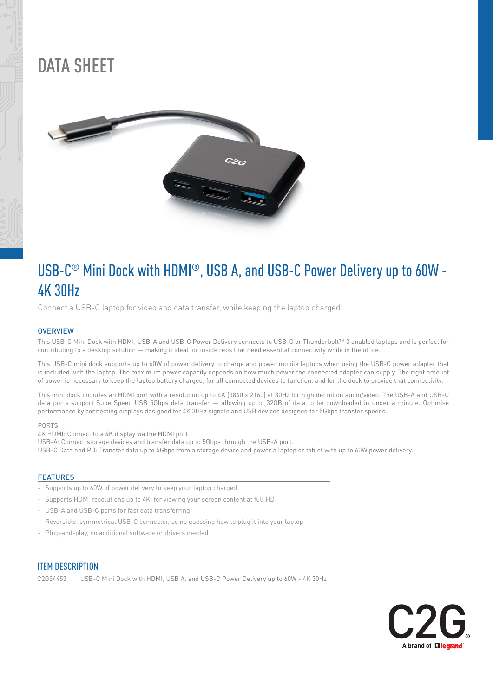

## DATA SHEET



## USB-C® Mini Dock with HDMI®, USB A, and USB-C Power Delivery up to 60W - 4K 30Hz

Connect a USB-C laptop for video and data transfer, while keeping the laptop charged

#### **OVERVIEW**

This USB-C Mini Dock with HDMI, USB-A and USB-C Power Delivery connects to USB-C or Thunderbolt™ 3 enabled laptops and is perfect for contributing to a desktop solution — making it ideal for inside reps that need essential connectivity while in the office.

This USB-C mini dock supports up to 60W of power delivery to charge and power mobile laptops when using the USB-C power adapter that is included with the laptop. The maximum power capacity depends on how much power the connected adapter can supply. The right amount of power is necessary to keep the laptop battery charged, for all connected devices to function, and for the dock to provide that connectivity.

This mini dock includes an HDMI port with a resolution up to 4K (3840 x 2160) at 30Hz for high definition audio/video. The USB-A and USB-C data ports support SuperSpeed USB 5Gbps data transfer — allowing up to 32GB of data to be downloaded in under a minute. Optimise performance by connecting displays designed for 4K 30Hz signals and USB devices designed for 5Gbps transfer speeds.

PORTS:

4K HDMI: Connect to a 4K display via the HDMI port.

USB-A: Connect storage devices and transfer data up to 5Gbps through the USB-A port.

USB-C Data and PD: Transfer data up to 5Gbps from a storage device and power a laptop or tablet with up to 60W power delivery.

#### FEATURES

- Supports up to 60W of power delivery to keep your laptop charged
- Supports HDMI resolutions up to 4K, for viewing your screen content at full HD
- USB-A and USB-C ports for fast data transferring
- Reversible, symmetrical USB-C connector, so no guessing how to plug it into your laptop
- Plug-and-play, no additional software or drivers needed

### **ITEM DESCRIPTION**

C2G54453 USB-C Mini Dock with HDMI, USB A, and USB-C Power Delivery up to 60W - 4K 30Hz